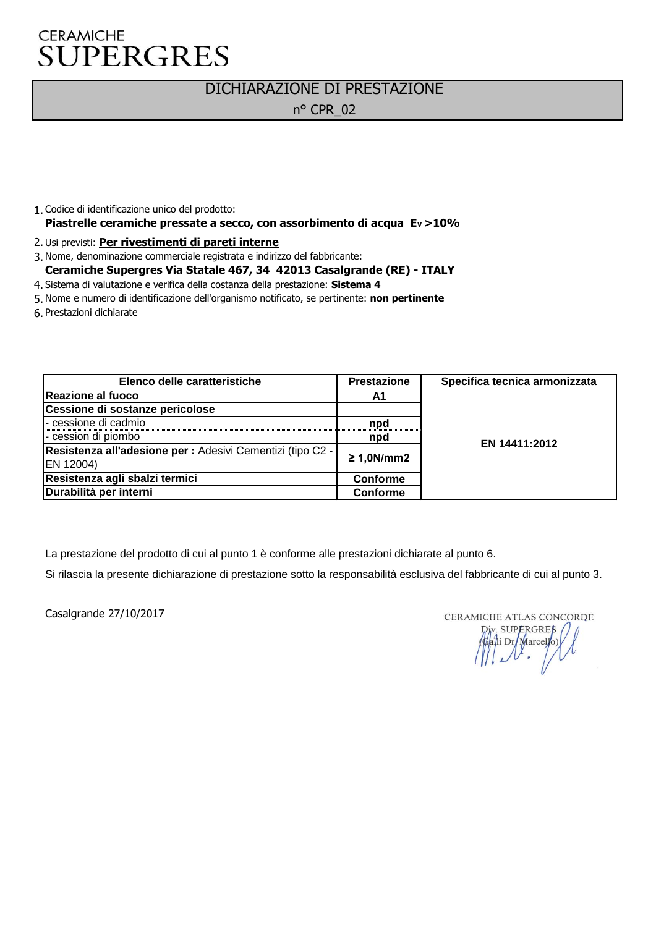#### DICHIARAZIONE DI PRESTAZIONE

n° CPR\_02

- 1. Codice di identificazione unico del prodotto: **Piastrelle ceramiche pressate a secco, con assorbimento di acqua EV >10%**
- 2. Usi previsti: **Per rivestimenti di pareti interne**
- 3. Nome, denominazione commerciale registrata e indirizzo del fabbricante: **Ceramiche Supergres Via Statale 467, 34 42013 Casalgrande (RE) - ITALY**
- 4. Sistema di valutazione e verifica della costanza della prestazione: **Sistema 4**
- 5. Nome e numero di identificazione dell'organismo notificato, se pertinente: **non pertinente**
- 6. Prestazioni dichiarate

| Elenco delle caratteristiche                               | <b>Prestazione</b> | Specifica tecnica armonizzata |
|------------------------------------------------------------|--------------------|-------------------------------|
| Reazione al fuoco                                          | A1                 |                               |
| Cessione di sostanze pericolose                            |                    |                               |
| - cessione di cadmio                                       | npd                | EN 14411:2012                 |
| - cession di piombo                                        | npd                |                               |
| Resistenza all'adesione per : Adesivi Cementizi (tipo C2 - | $\geq 1,0N/mm2$    |                               |
| EN 12004)                                                  |                    |                               |
| Resistenza agli sbalzi termici                             | Conforme           |                               |
| Durabilità per interni                                     | Conforme           |                               |

La prestazione del prodotto di cui al punto 1 è conforme alle prestazioni dichiarate al punto 6.

Si rilascia la presente dichiarazione di prestazione sotto la responsabilità esclusiva del fabbricante di cui al punto 3.

Casalgrande 27/10/2017

CERAMICHE ATLAS CONCORDE Div. SUPERGRES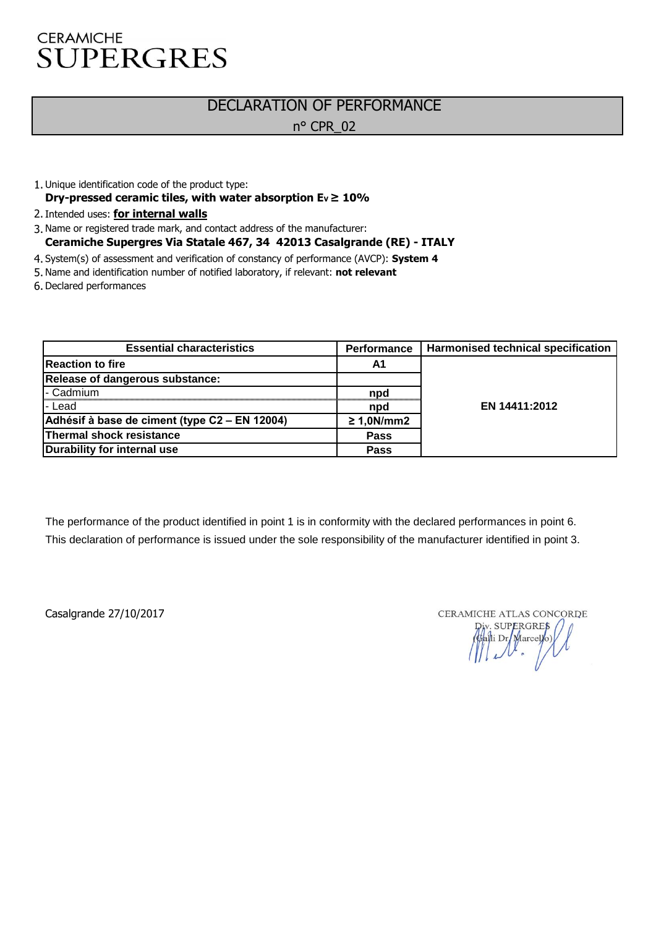# DECLARATION OF PERFORMANCE

n° CPR\_02

- 1. Unique identification code of the product type: Dry-pressed ceramic tiles, with water absorption  $Ev \ge 10\%$
- 2. Intended uses: **for internal walls**
- 3. Name or registered trade mark, and contact address of the manufacturer: **Ceramiche Supergres Via Statale 467, 34 42013 Casalgrande (RE) - ITALY**
- 4. System(s) of assessment and verification of constancy of performance (AVCP): **System 4**
- 5. Name and identification number of notified laboratory, if relevant: **not relevant**
- 6. Declared performances

| <b>Essential characteristics</b>              | <b>Performance</b> | <b>Harmonised technical specification</b> |
|-----------------------------------------------|--------------------|-------------------------------------------|
| <b>Reaction to fire</b>                       | A1                 |                                           |
| Release of dangerous substance:               |                    |                                           |
| - Cadmium                                     | npd                |                                           |
| l-Lead                                        | npd                | EN 14411:2012                             |
| Adhésif à base de ciment (type C2 – EN 12004) | $\geq 1,0N/mm2$    |                                           |
| Thermal shock resistance                      | <b>Pass</b>        |                                           |
| Durability for internal use                   | <b>Pass</b>        |                                           |

The performance of the product identified in point 1 is in conformity with the declared performances in point 6. This declaration of performance is issued under the sole responsibility of the manufacturer identified in point 3.

Casalgrande 27/10/2017

CERAMICHE ATLAS CONCORDE

The ATLAS CONCOR<br>
Div. SUPERGRES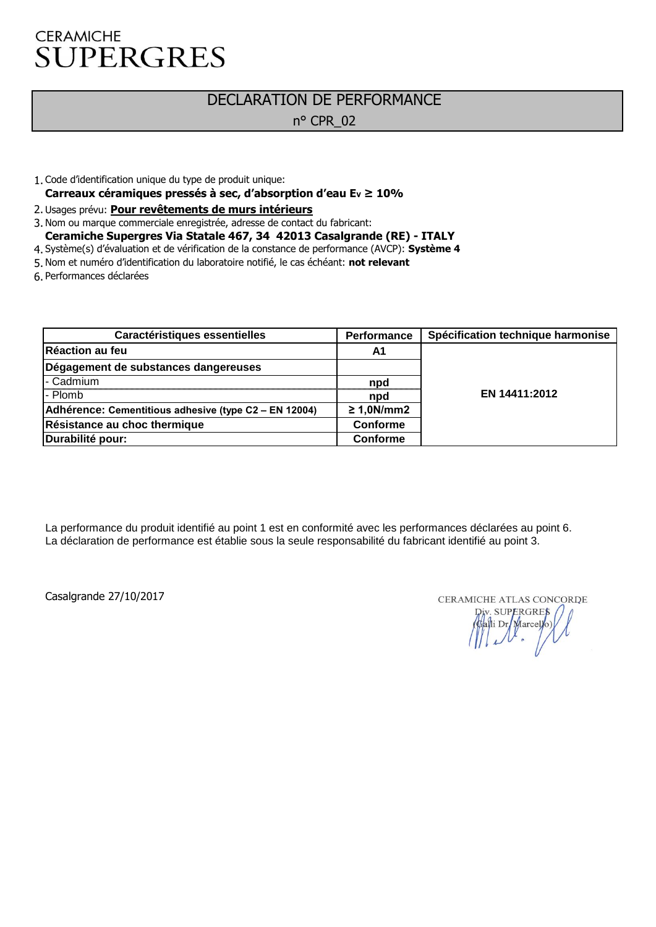#### DECLARATION DE PERFORMANCE n° CPR\_02

- 1. Code d'identification unique du type de produit unique:
- **Carreaux céramiques pressés à sec, d'absorption d'eau EV ≥ 10%**
- 2. Usages prévu: **Pour revêtements de murs intérieurs**
- 3. Nom ou marque commerciale enregistrée, adresse de contact du fabricant: **Ceramiche Supergres Via Statale 467, 34 42013 Casalgrande (RE) - ITALY**
- 4. Système(s) d'évaluation et de vérification de la constance de performance (AVCP): **Système 4**
- 5. Nom et numéro d'identification du laboratoire notifié, le cas échéant: **not relevant**
- 6. Performances déclarées

| Caractéristiques essentielles                         | Performance     | Spécification technique harmonise |
|-------------------------------------------------------|-----------------|-----------------------------------|
| Réaction au feu                                       | A1              |                                   |
| Dégagement de substances dangereuses                  |                 |                                   |
| I- Cadmium                                            | npd             |                                   |
| l- Plomb                                              | npd             | EN 14411:2012                     |
| Adhérence: Cementitious adhesive (type C2 – EN 12004) | $\geq 1,0N/mm2$ |                                   |
| Résistance au choc thermique                          | <b>Conforme</b> |                                   |
| Durabilité pour:                                      | <b>Conforme</b> |                                   |

La performance du produit identifié au point 1 est en conformité avec les performances déclarées au point 6. La déclaration de performance est établie sous la seule responsabilité du fabricant identifié au point 3.

Casalgrande 27/10/2017

CERAMICHE ATLAS CONCORDE SUPERGRES Calli Dr Marcey